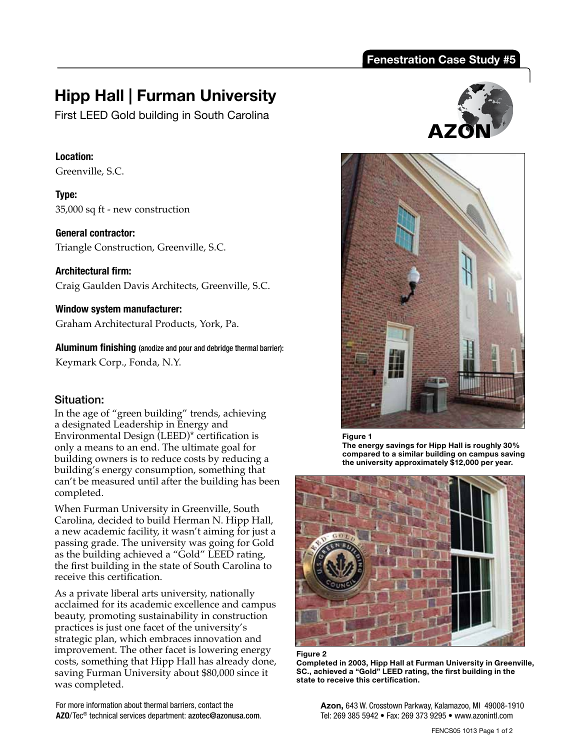## **Fenestration Case Study #5**

# **Hipp Hall | Furman University**

First LEED Gold building in South Carolina

#### **Location:**

Greenville, S.C.

**Type:**  35,000 sq ft - new construction

**General contractor:** 

Triangle Construction, Greenville, S.C.

**Architectural firm:**  Craig Gaulden Davis Architects, Greenville, S.C.

**Window system manufacturer:** 

Graham Architectural Products, York, Pa.

**Aluminum finishing** (anodize and pour and debridge thermal barrier):

Keymark Corp., Fonda, N.Y.

### Situation:

In the age of "green building" trends, achieving a designated Leadership in Energy and Environmental Design (LEED)\* certification is only a means to an end. The ultimate goal for building owners is to reduce costs by reducing a building's energy consumption, something that can't be measured until after the building has been completed.

When Furman University in Greenville, South Carolina, decided to build Herman N. Hipp Hall, a new academic facility, it wasn't aiming for just a passing grade. The university was going for Gold as the building achieved a "Gold" LEED rating, the first building in the state of South Carolina to receive this certification.

As a private liberal arts university, nationally acclaimed for its academic excellence and campus beauty, promoting sustainability in construction practices is just one facet of the university's strategic plan, which embraces innovation and improvement. The other facet is lowering energy costs, something that Hipp Hall has already done, saving Furman University about \$80,000 since it was completed.

For more information about thermal barriers, contact the **AZO**/Tec® technical services department: azotec@azonusa.com.





**Figure 1** 

**The energy savings for Hipp Hall is roughly 30% compared to a similar building on campus saving the university approximately \$12,000 per year.** 





**Completed in 2003, Hipp Hall at Furman University in Greenville, SC., achieved a "Gold" LEED rating, the first building in the state to receive this certification.** 

**Azon,** 643 W. Crosstown Parkway, Kalamazoo, MI 49008-1910 Tel: 269 385 5942 • Fax: 269 373 9295 • www.azonintl.com